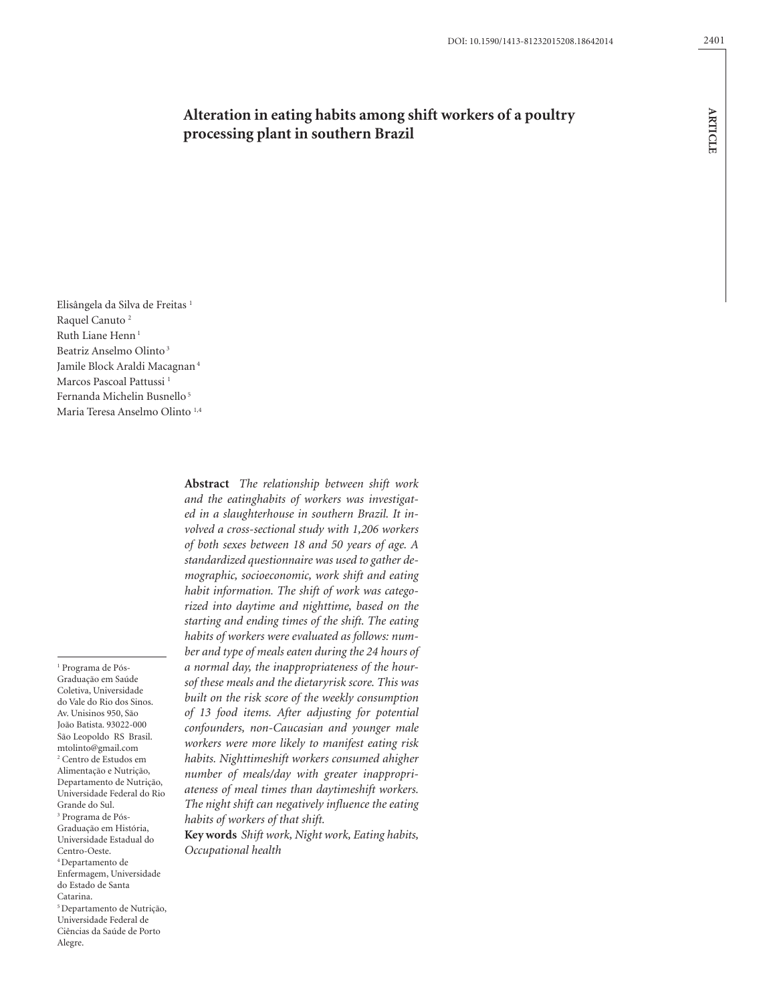**article**

**ARTICLE** 

# **Alteration in eating habits among shift workers of a poultry processing plant in southern Brazil**

Elisângela da Silva de Freitas<sup>1</sup> Raquel Canuto 2 Ruth Liane Henn<sup>1</sup> Beatriz Anselmo Olinto 3 Jamile Block Araldi Macagnan 4 Marcos Pascoal Pattussi 1 Fernanda Michelin Busnello<sup>5</sup> Maria Teresa Anselmo Olinto<sup>1,4</sup>

1 Programa de Pós-Graduação em Saúde Coletiva, Universidade do Vale do Rio dos Sinos. Av. Unisinos 950, São João Batista. 93022-000 São Leopoldo RS Brasil. mtolinto@gmail.com 2 Centro de Estudos em Alimentação e Nutrição, Departamento de Nutrição, Universidade Federal do Rio Grande do Sul. 3 Programa de Pós-Graduação em História, Universidade Estadual do Centro-Oeste. 4 Departamento de Enfermagem, Universidade do Estado de Santa Catarina. 5 Departamento de Nutrição, Universidade Federal de Ciências da Saúde de Porto Alegre.

**Abstract** *The relationship between shift work and the eatinghabits of workers was investigated in a slaughterhouse in southern Brazil. It involved a cross-sectional study with 1,206 workers of both sexes between 18 and 50 years of age. A standardized questionnaire was used to gather demographic, socioeconomic, work shift and eating habit information. The shift of work was categorized into daytime and nighttime, based on the starting and ending times of the shift. The eating habits of workers were evaluated as follows: number and type of meals eaten during the 24 hours of a normal day, the inappropriateness of the hoursof these meals and the dietaryrisk score. This was built on the risk score of the weekly consumption of 13 food items. After adjusting for potential confounders, non-Caucasian and younger male workers were more likely to manifest eating risk habits. Nighttimeshift workers consumed ahigher number of meals/day with greater inappropriateness of meal times than daytimeshift workers. The night shift can negatively influence the eating habits of workers of that shift.*

**Key words** *Shift work, Night work, Eating habits, Occupational health*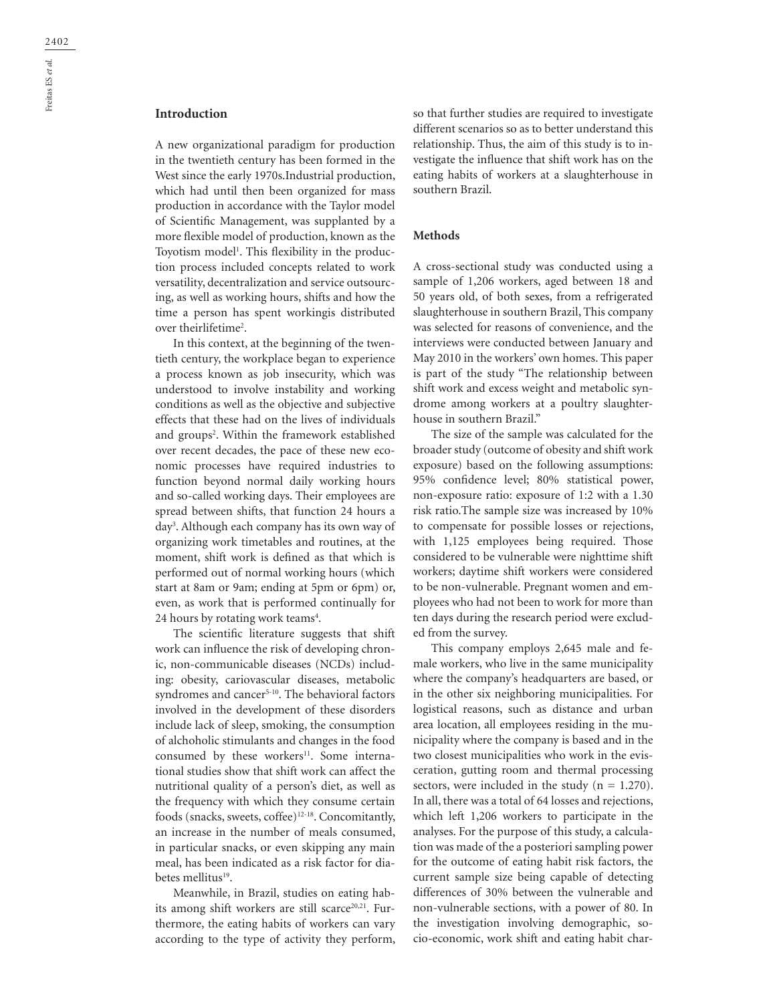## **Introduction**

A new organizational paradigm for production in the twentieth century has been formed in the West since the early 1970s.Industrial production, which had until then been organized for mass production in accordance with the Taylor model of Scientific Management, was supplanted by a more flexible model of production, known as the Toyotism model<sup>1</sup>. This flexibility in the production process included concepts related to work versatility, decentralization and service outsourcing, as well as working hours, shifts and how the time a person has spent workingis distributed over theirlifetime<sup>2</sup>.

In this context, at the beginning of the twentieth century, the workplace began to experience a process known as job insecurity, which was understood to involve instability and working conditions as well as the objective and subjective effects that these had on the lives of individuals and groups<sup>2</sup>. Within the framework established over recent decades, the pace of these new economic processes have required industries to function beyond normal daily working hours and so-called working days. Their employees are spread between shifts, that function 24 hours a day3 . Although each company has its own way of organizing work timetables and routines, at the moment, shift work is defined as that which is performed out of normal working hours (which start at 8am or 9am; ending at 5pm or 6pm) or, even, as work that is performed continually for 24 hours by rotating work teams<sup>4</sup>.

The scientific literature suggests that shift work can influence the risk of developing chronic, non-communicable diseases (NCDs) including: obesity, cariovascular diseases, metabolic syndromes and cancer<sup>5-10</sup>. The behavioral factors involved in the development of these disorders include lack of sleep, smoking, the consumption of alchoholic stimulants and changes in the food consumed by these workers<sup>11</sup>. Some international studies show that shift work can affect the nutritional quality of a person's diet, as well as the frequency with which they consume certain foods (snacks, sweets, coffee)12-18. Concomitantly, an increase in the number of meals consumed, in particular snacks, or even skipping any main meal, has been indicated as a risk factor for diabetes mellitus<sup>19</sup>.

Meanwhile, in Brazil, studies on eating habits among shift workers are still scarce<sup>20,21</sup>. Furthermore, the eating habits of workers can vary according to the type of activity they perform, so that further studies are required to investigate different scenarios so as to better understand this relationship. Thus, the aim of this study is to investigate the influence that shift work has on the eating habits of workers at a slaughterhouse in southern Brazil.

## **Methods**

A cross-sectional study was conducted using a sample of 1,206 workers, aged between 18 and 50 years old, of both sexes, from a refrigerated slaughterhouse in southern Brazil, This company was selected for reasons of convenience, and the interviews were conducted between January and May 2010 in the workers' own homes. This paper is part of the study "The relationship between shift work and excess weight and metabolic syndrome among workers at a poultry slaughterhouse in southern Brazil."

The size of the sample was calculated for the broader study (outcome of obesity and shift work exposure) based on the following assumptions: 95% confidence level; 80% statistical power, non-exposure ratio: exposure of 1:2 with a 1.30 risk ratio.The sample size was increased by 10% to compensate for possible losses or rejections, with 1,125 employees being required. Those considered to be vulnerable were nighttime shift workers; daytime shift workers were considered to be non-vulnerable. Pregnant women and employees who had not been to work for more than ten days during the research period were excluded from the survey.

This company employs 2,645 male and female workers, who live in the same municipality where the company's headquarters are based, or in the other six neighboring municipalities. For logistical reasons, such as distance and urban area location, all employees residing in the municipality where the company is based and in the two closest municipalities who work in the evisceration, gutting room and thermal processing sectors, were included in the study  $(n = 1.270)$ . In all, there was a total of 64 losses and rejections, which left 1,206 workers to participate in the analyses. For the purpose of this study, a calculation was made of the a posteriori sampling power for the outcome of eating habit risk factors, the current sample size being capable of detecting differences of 30% between the vulnerable and non-vulnerable sections, with a power of 80. In the investigation involving demographic, socio-economic, work shift and eating habit char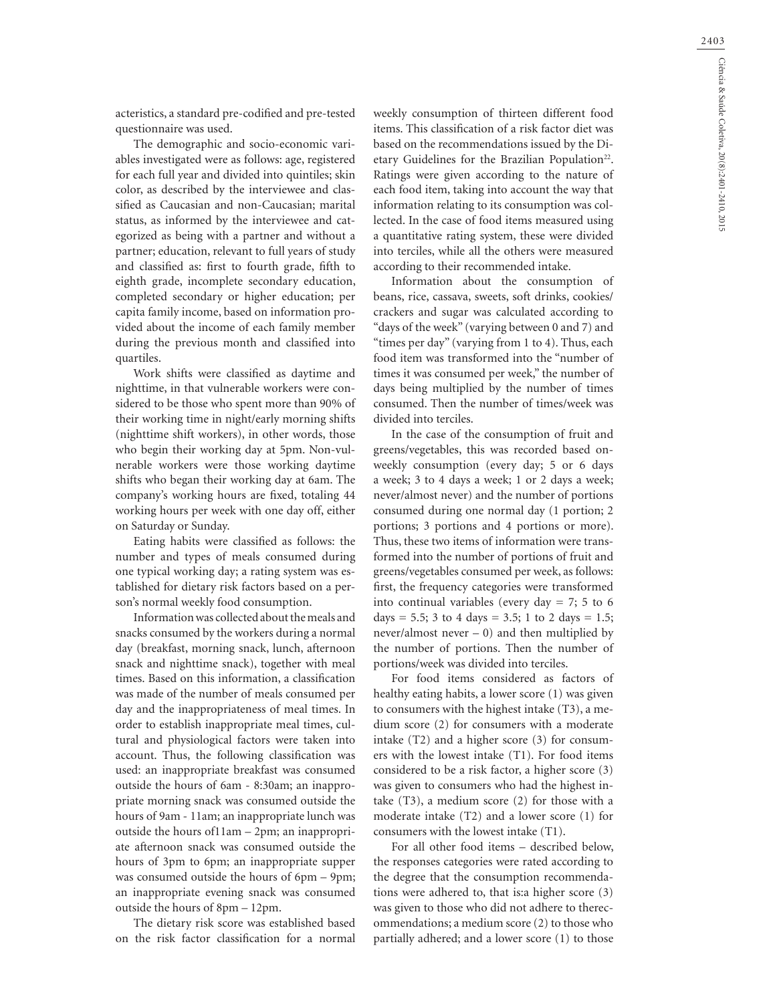acteristics, a standard pre-codified and pre-tested questionnaire was used.

The demographic and socio-economic variables investigated were as follows: age, registered for each full year and divided into quintiles; skin color, as described by the interviewee and classified as Caucasian and non-Caucasian; marital status, as informed by the interviewee and categorized as being with a partner and without a partner; education, relevant to full years of study and classified as: first to fourth grade, fifth to eighth grade, incomplete secondary education, completed secondary or higher education; per capita family income, based on information provided about the income of each family member during the previous month and classified into quartiles.

Work shifts were classified as daytime and nighttime, in that vulnerable workers were considered to be those who spent more than 90% of their working time in night/early morning shifts (nighttime shift workers), in other words, those who begin their working day at 5pm. Non-vulnerable workers were those working daytime shifts who began their working day at 6am. The company's working hours are fixed, totaling 44 working hours per week with one day off, either on Saturday or Sunday.

Eating habits were classified as follows: the number and types of meals consumed during one typical working day; a rating system was established for dietary risk factors based on a person's normal weekly food consumption.

Information was collected about the meals and snacks consumed by the workers during a normal day (breakfast, morning snack, lunch, afternoon snack and nighttime snack), together with meal times. Based on this information, a classification was made of the number of meals consumed per day and the inappropriateness of meal times. In order to establish inappropriate meal times, cultural and physiological factors were taken into account. Thus, the following classification was used: an inappropriate breakfast was consumed outside the hours of 6am - 8:30am; an inappropriate morning snack was consumed outside the hours of 9am - 11am; an inappropriate lunch was outside the hours of11am – 2pm; an inappropriate afternoon snack was consumed outside the hours of 3pm to 6pm; an inappropriate supper was consumed outside the hours of 6pm – 9pm; an inappropriate evening snack was consumed outside the hours of 8pm – 12pm.

The dietary risk score was established based on the risk factor classification for a normal weekly consumption of thirteen different food items. This classification of a risk factor diet was based on the recommendations issued by the Dietary Guidelines for the Brazilian Population<sup>22</sup>. Ratings were given according to the nature of each food item, taking into account the way that information relating to its consumption was collected. In the case of food items measured using a quantitative rating system, these were divided into terciles, while all the others were measured according to their recommended intake.

Information about the consumption of beans, rice, cassava, sweets, soft drinks, cookies/ crackers and sugar was calculated according to "days of the week" (varying between 0 and 7) and "times per day" (varying from 1 to 4). Thus, each food item was transformed into the "number of times it was consumed per week," the number of days being multiplied by the number of times consumed. Then the number of times/week was divided into terciles.

In the case of the consumption of fruit and greens/vegetables, this was recorded based onweekly consumption (every day; 5 or 6 days a week; 3 to 4 days a week; 1 or 2 days a week; never/almost never) and the number of portions consumed during one normal day (1 portion; 2 portions; 3 portions and 4 portions or more). Thus, these two items of information were transformed into the number of portions of fruit and greens/vegetables consumed per week, as follows: first, the frequency categories were transformed into continual variables (every day  $= 7$ ; 5 to 6 days = 5.5; 3 to 4 days = 3.5; 1 to 2 days = 1.5; never/almost never  $-0$ ) and then multiplied by the number of portions. Then the number of portions/week was divided into terciles.

For food items considered as factors of healthy eating habits, a lower score (1) was given to consumers with the highest intake (T3), a medium score (2) for consumers with a moderate intake (T2) and a higher score (3) for consumers with the lowest intake (T1). For food items considered to be a risk factor, a higher score (3) was given to consumers who had the highest intake (T3), a medium score (2) for those with a moderate intake (T2) and a lower score (1) for consumers with the lowest intake (T1).

For all other food items – described below, the responses categories were rated according to the degree that the consumption recommendations were adhered to, that is:a higher score (3) was given to those who did not adhere to therecommendations; a medium score (2) to those who partially adhered; and a lower score (1) to those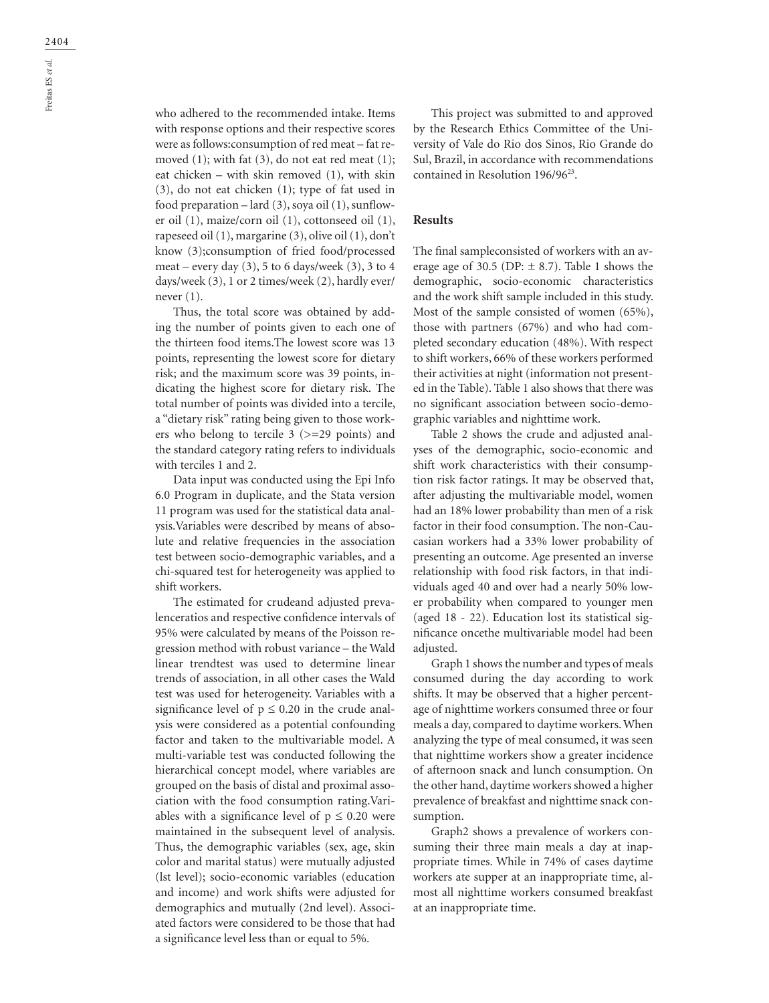who adhered to the recommended intake. Items with response options and their respective scores were as follows:consumption of red meat – fat removed  $(1)$ ; with fat  $(3)$ , do not eat red meat  $(1)$ ; eat chicken – with skin removed (1), with skin (3), do not eat chicken (1); type of fat used in food preparation – lard (3), soya oil (1), sunflower oil (1), maize/corn oil (1), cottonseed oil (1), rapeseed oil (1), margarine (3), olive oil (1), don't know (3);consumption of fried food/processed meat – every day  $(3)$ , 5 to 6 days/week  $(3)$ , 3 to 4 days/week (3), 1 or 2 times/week (2), hardly ever/ never (1).

Thus, the total score was obtained by adding the number of points given to each one of the thirteen food items.The lowest score was 13 points, representing the lowest score for dietary risk; and the maximum score was 39 points, indicating the highest score for dietary risk. The total number of points was divided into a tercile, a "dietary risk" rating being given to those workers who belong to tercile 3 (>=29 points) and the standard category rating refers to individuals with terciles 1 and 2.

Data input was conducted using the Epi Info 6.0 Program in duplicate, and the Stata version 11 program was used for the statistical data analysis.Variables were described by means of absolute and relative frequencies in the association test between socio-demographic variables, and a chi-squared test for heterogeneity was applied to shift workers.

The estimated for crudeand adjusted prevalenceratios and respective confidence intervals of 95% were calculated by means of the Poisson regression method with robust variance – the Wald linear trendtest was used to determine linear trends of association, in all other cases the Wald test was used for heterogeneity. Variables with a significance level of  $p \le 0.20$  in the crude analysis were considered as a potential confounding factor and taken to the multivariable model. A multi-variable test was conducted following the hierarchical concept model, where variables are grouped on the basis of distal and proximal association with the food consumption rating.Variables with a significance level of  $p \le 0.20$  were maintained in the subsequent level of analysis. Thus, the demographic variables (sex, age, skin color and marital status) were mutually adjusted (lst level); socio-economic variables (education and income) and work shifts were adjusted for demographics and mutually (2nd level). Associated factors were considered to be those that had a significance level less than or equal to 5%.

This project was submitted to and approved by the Research Ethics Committee of the University of Vale do Rio dos Sinos, Rio Grande do Sul, Brazil, in accordance with recommendations contained in Resolution 196/9623.

#### **Results**

The final sampleconsisted of workers with an average age of 30.5 (DP:  $\pm$  8.7). Table 1 shows the demographic, socio-economic characteristics and the work shift sample included in this study. Most of the sample consisted of women (65%), those with partners (67%) and who had completed secondary education (48%). With respect to shift workers, 66% of these workers performed their activities at night (information not presented in the Table). Table 1 also shows that there was no significant association between socio-demographic variables and nighttime work.

Table 2 shows the crude and adjusted analyses of the demographic, socio-economic and shift work characteristics with their consumption risk factor ratings. It may be observed that, after adjusting the multivariable model, women had an 18% lower probability than men of a risk factor in their food consumption. The non-Caucasian workers had a 33% lower probability of presenting an outcome. Age presented an inverse relationship with food risk factors, in that individuals aged 40 and over had a nearly 50% lower probability when compared to younger men (aged 18 - 22). Education lost its statistical significance oncethe multivariable model had been adjusted.

Graph 1 shows the number and types of meals consumed during the day according to work shifts. It may be observed that a higher percentage of nighttime workers consumed three or four meals a day, compared to daytime workers. When analyzing the type of meal consumed, it was seen that nighttime workers show a greater incidence of afternoon snack and lunch consumption. On the other hand, daytime workers showed a higher prevalence of breakfast and nighttime snack consumption.

Graph2 shows a prevalence of workers consuming their three main meals a day at inappropriate times. While in 74% of cases daytime workers ate supper at an inappropriate time, almost all nighttime workers consumed breakfast at an inappropriate time.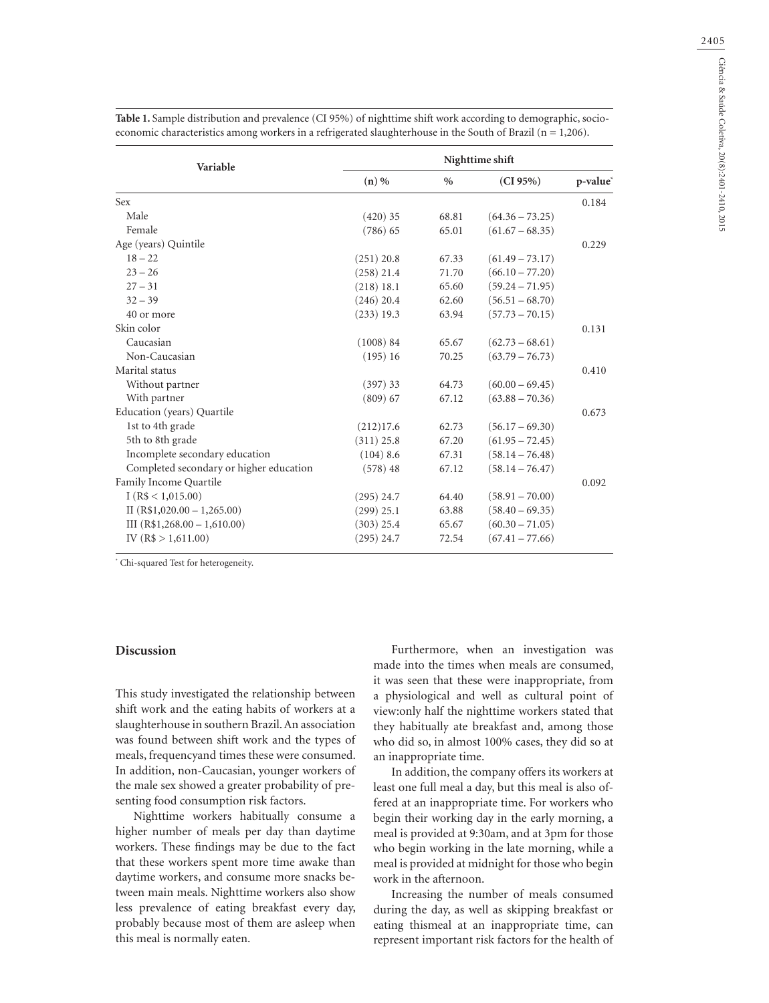2405

| Variable                                | Nighttime shift |               |                   |                      |  |  |  |
|-----------------------------------------|-----------------|---------------|-------------------|----------------------|--|--|--|
|                                         | $(n)$ %         | $\frac{0}{0}$ | (CI 95%)          | p-value <sup>*</sup> |  |  |  |
| Sex                                     |                 |               |                   | 0.184                |  |  |  |
| Male                                    | $(420)$ 35      | 68.81         | $(64.36 - 73.25)$ |                      |  |  |  |
| Female                                  | $(786)$ 65      | 65.01         | $(61.67 - 68.35)$ |                      |  |  |  |
| Age (years) Quintile                    |                 |               |                   | 0.229                |  |  |  |
| $18 - 22$                               | (251) 20.8      | 67.33         | $(61.49 - 73.17)$ |                      |  |  |  |
| $23 - 26$                               | $(258)$ 21.4    | 71.70         | $(66.10 - 77.20)$ |                      |  |  |  |
| $27 - 31$                               | (218) 18.1      | 65.60         | $(59.24 - 71.95)$ |                      |  |  |  |
| $32 - 39$                               | $(246)$ 20.4    | 62.60         | $(56.51 - 68.70)$ |                      |  |  |  |
| 40 or more                              | $(233)$ 19.3    | 63.94         | $(57.73 - 70.15)$ |                      |  |  |  |
| Skin color                              |                 |               |                   | 0.131                |  |  |  |
| Caucasian                               | (1008) 84       | 65.67         | $(62.73 - 68.61)$ |                      |  |  |  |
| Non-Caucasian                           | (195)16         | 70.25         | $(63.79 - 76.73)$ |                      |  |  |  |
| Marital status                          |                 |               |                   | 0.410                |  |  |  |
| Without partner                         | (397) 33        | 64.73         | $(60.00 - 69.45)$ |                      |  |  |  |
| With partner                            | (809) 67        | 67.12         | $(63.88 - 70.36)$ |                      |  |  |  |
| Education (years) Quartile              |                 |               |                   | 0.673                |  |  |  |
| 1st to 4th grade                        | (212)17.6       | 62.73         | $(56.17 - 69.30)$ |                      |  |  |  |
| 5th to 8th grade                        | $(311)$ 25.8    | 67.20         | $(61.95 - 72.45)$ |                      |  |  |  |
| Incomplete secondary education          | $(104)$ 8.6     | 67.31         | $(58.14 - 76.48)$ |                      |  |  |  |
| Completed secondary or higher education | (578)48         | 67.12         | $(58.14 - 76.47)$ |                      |  |  |  |
| Family Income Quartile                  |                 |               |                   | 0.092                |  |  |  |
| I(R\$ < 1,015.00)                       | $(295)$ 24.7    | 64.40         | $(58.91 - 70.00)$ |                      |  |  |  |
| II $(R$1,020.00 - 1,265.00)$            | $(299)$ 25.1    | 63.88         | $(58.40 - 69.35)$ |                      |  |  |  |
| III $(R$1,268.00 - 1,610.00)$           | $(303)$ 25.4    | 65.67         | $(60.30 - 71.05)$ |                      |  |  |  |
| IV (R\$ $> 1,611.00$ )                  | $(295)$ 24.7    | 72.54         | $(67.41 - 77.66)$ |                      |  |  |  |

**Table 1.** Sample distribution and prevalence (CI 95%) of nighttime shift work according to demographic, socioeconomic characteristics among workers in a refrigerated slaughterhouse in the South of Brazil (n = 1,206).

\* Chi-squared Test for heterogeneity.

## **Discussion**

This study investigated the relationship between shift work and the eating habits of workers at a slaughterhouse in southern Brazil. An association was found between shift work and the types of meals, frequencyand times these were consumed. In addition, non-Caucasian, younger workers of the male sex showed a greater probability of presenting food consumption risk factors.

Nighttime workers habitually consume a higher number of meals per day than daytime workers. These findings may be due to the fact that these workers spent more time awake than daytime workers, and consume more snacks between main meals. Nighttime workers also show less prevalence of eating breakfast every day, probably because most of them are asleep when this meal is normally eaten.

Furthermore, when an investigation was made into the times when meals are consumed, it was seen that these were inappropriate, from a physiological and well as cultural point of view:only half the nighttime workers stated that they habitually ate breakfast and, among those who did so, in almost 100% cases, they did so at an inappropriate time.

In addition, the company offers its workers at least one full meal a day, but this meal is also offered at an inappropriate time. For workers who begin their working day in the early morning, a meal is provided at 9:30am, and at 3pm for those who begin working in the late morning, while a meal is provided at midnight for those who begin work in the afternoon.

Increasing the number of meals consumed during the day, as well as skipping breakfast or eating thismeal at an inappropriate time, can represent important risk factors for the health of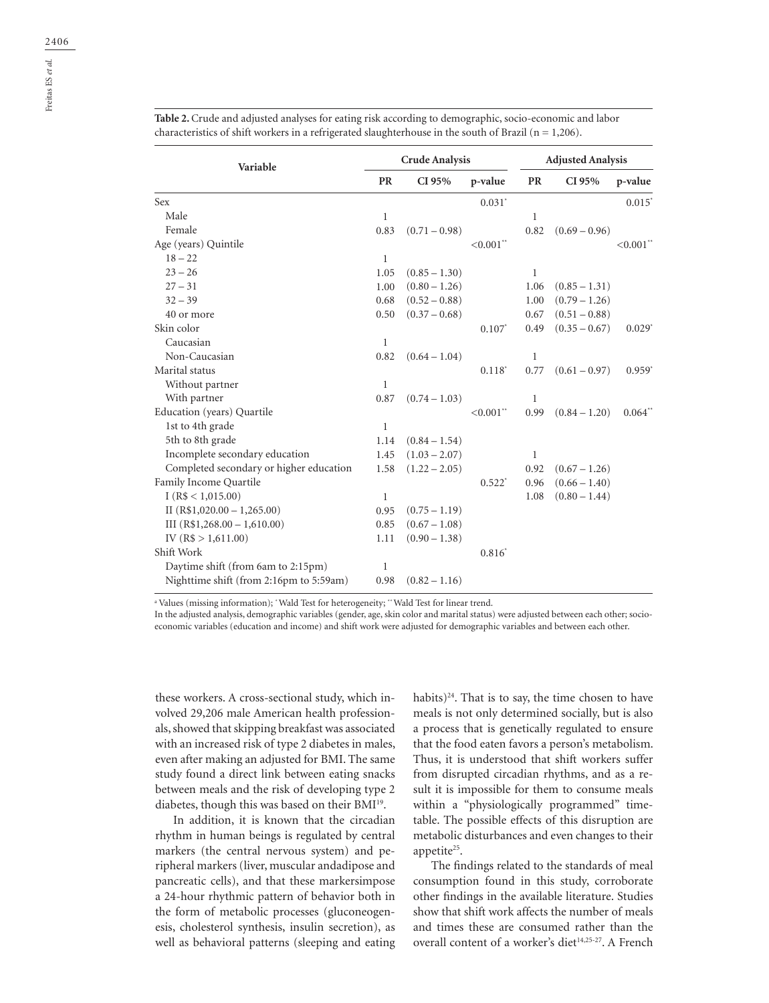| Variable                                | <b>Crude Analysis</b> |                 |                      | <b>Adjusted Analysis</b> |                 |                         |
|-----------------------------------------|-----------------------|-----------------|----------------------|--------------------------|-----------------|-------------------------|
|                                         | <b>PR</b>             | CI 95%          | p-value              | <b>PR</b>                | CI 95%          | p-value                 |
| Sex                                     |                       |                 | $0.031$ <sup>*</sup> |                          |                 | $0.015*$                |
| Male                                    | $\mathbf{1}$          |                 |                      | $\mathbf{1}$             |                 |                         |
| Female                                  | 0.83                  | $(0.71 - 0.98)$ |                      | 0.82                     | $(0.69 - 0.96)$ |                         |
| Age (years) Quintile                    |                       |                 | $< 0.001$ **         |                          |                 | $< 0.001$ <sup>**</sup> |
| $18 - 22$                               | 1                     |                 |                      |                          |                 |                         |
| $23 - 26$                               | 1.05                  | $(0.85 - 1.30)$ |                      | 1                        |                 |                         |
| $27 - 31$                               | 1.00                  | $(0.80 - 1.26)$ |                      | 1.06                     | $(0.85 - 1.31)$ |                         |
| $32 - 39$                               | 0.68                  | $(0.52 - 0.88)$ |                      | 1.00                     | $(0.79 - 1.26)$ |                         |
| 40 or more                              | 0.50                  | $(0.37 - 0.68)$ |                      | 0.67                     | $(0.51 - 0.88)$ |                         |
| Skin color                              |                       |                 | $0.107^*$            | 0.49                     | $(0.35 - 0.67)$ | $0.029*$                |
| Caucasian                               | 1                     |                 |                      |                          |                 |                         |
| Non-Caucasian                           | 0.82                  | $(0.64 - 1.04)$ |                      | 1                        |                 |                         |
| Marital status                          |                       |                 | $0.118^*$            | 0.77                     | $(0.61 - 0.97)$ | $0.959*$                |
| Without partner                         | $\mathbf{1}$          |                 |                      |                          |                 |                         |
| With partner                            | 0.87                  | $(0.74 - 1.03)$ |                      | $\mathbf{1}$             |                 |                         |
| Education (years) Quartile              |                       |                 | $< 0.001$ **         | 0.99                     | $(0.84 - 1.20)$ | $0.064**$               |
| 1st to 4th grade                        | 1                     |                 |                      |                          |                 |                         |
| 5th to 8th grade                        | 1.14                  | $(0.84 - 1.54)$ |                      |                          |                 |                         |
| Incomplete secondary education          | 1.45                  | $(1.03 - 2.07)$ |                      | 1                        |                 |                         |
| Completed secondary or higher education | 1.58                  | $(1.22 - 2.05)$ |                      | 0.92                     | $(0.67 - 1.26)$ |                         |
| Family Income Quartile                  |                       |                 | $0.522*$             | 0.96                     | $(0.66 - 1.40)$ |                         |
| I(R\$ < 1,015.00)                       | 1                     |                 |                      | 1.08                     | $(0.80 - 1.44)$ |                         |
| II $(R$1,020.00 - 1,265.00)$            | 0.95                  | $(0.75 - 1.19)$ |                      |                          |                 |                         |
| III $(R$1,268.00 - 1,610.00)$           | 0.85                  | $(0.67 - 1.08)$ |                      |                          |                 |                         |
| IV (R\$ $> 1,611.00$ )                  | 1.11                  | $(0.90 - 1.38)$ |                      |                          |                 |                         |
| Shift Work                              |                       |                 | $0.816^*$            |                          |                 |                         |
| Daytime shift (from 6am to 2:15pm)      | $\mathbf{1}$          |                 |                      |                          |                 |                         |
| Nighttime shift (from 2:16pm to 5:59am) | 0.98                  | $(0.82 - 1.16)$ |                      |                          |                 |                         |

**Table 2.** Crude and adjusted analyses for eating risk according to demographic, socio-economic and labor characteristics of shift workers in a refrigerated slaughterhouse in the south of Brazil ( $n = 1,206$ ).

a Values (missing information); \* Wald Test for heterogeneity; \*\* Wald Test for linear trend.

In the adjusted analysis, demographic variables (gender, age, skin color and marital status) were adjusted between each other; socioeconomic variables (education and income) and shift work were adjusted for demographic variables and between each other.

these workers. A cross-sectional study, which involved 29,206 male American health professionals, showed that skipping breakfast was associated with an increased risk of type 2 diabetes in males, even after making an adjusted for BMI. The same study found a direct link between eating snacks between meals and the risk of developing type 2 diabetes, though this was based on their BMI19.

In addition, it is known that the circadian rhythm in human beings is regulated by central markers (the central nervous system) and peripheral markers (liver, muscular andadipose and pancreatic cells), and that these markersimpose a 24-hour rhythmic pattern of behavior both in the form of metabolic processes (gluconeogenesis, cholesterol synthesis, insulin secretion), as well as behavioral patterns (sleeping and eating habits) $24$ . That is to say, the time chosen to have meals is not only determined socially, but is also a process that is genetically regulated to ensure that the food eaten favors a person's metabolism. Thus, it is understood that shift workers suffer from disrupted circadian rhythms, and as a result it is impossible for them to consume meals within a "physiologically programmed" timetable. The possible effects of this disruption are metabolic disturbances and even changes to their appetite<sup>25</sup>.

The findings related to the standards of meal consumption found in this study, corroborate other findings in the available literature. Studies show that shift work affects the number of meals and times these are consumed rather than the overall content of a worker's diet<sup>14,25-27</sup>. A French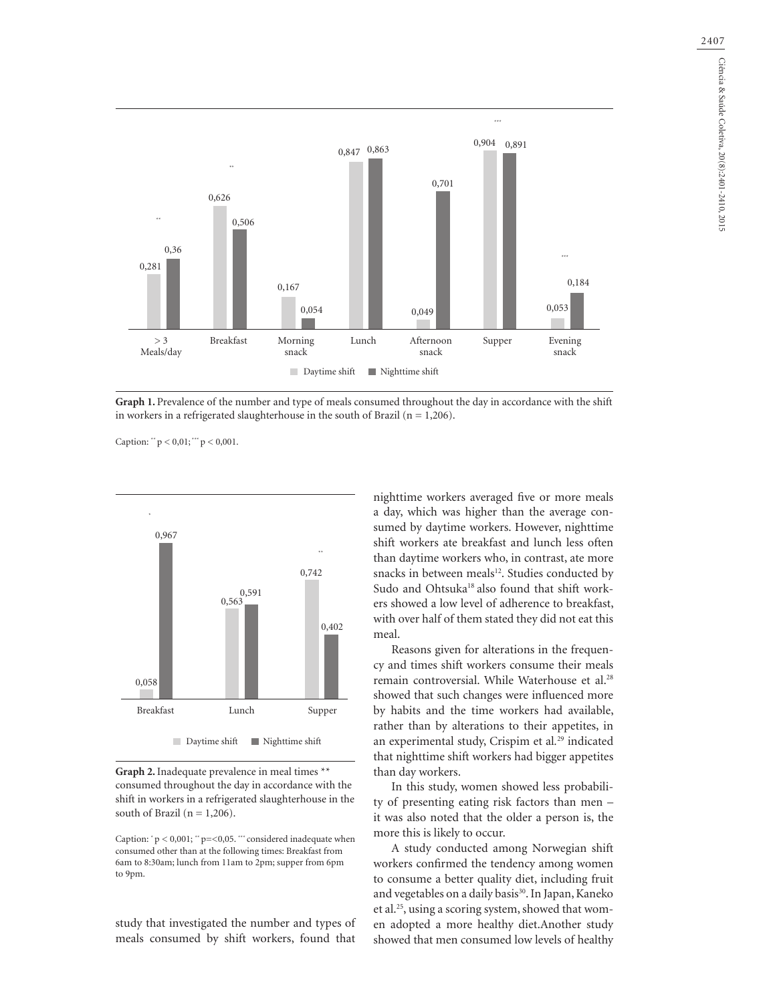

**Graph 1.** Prevalence of the number and type of meals consumed throughout the day in accordance with the shift in workers in a refrigerated slaughterhouse in the south of Brazil ( $n = 1,206$ ).

Caption: " $p < 0.01$ ; "" $p < 0.001$ .



**Graph 2.** Inadequate prevalence in meal times \*\* consumed throughout the day in accordance with the shift in workers in a refrigerated slaughterhouse in the south of Brazil ( $n = 1,206$ ).

Caption:  $p < 0.001$ ;  $p = 0.05$ . \*\*\* considered inadequate when consumed other than at the following times: Breakfast from 6am to 8:30am; lunch from 11am to 2pm; supper from 6pm to 9pm.

study that investigated the number and types of meals consumed by shift workers, found that nighttime workers averaged five or more meals a day, which was higher than the average consumed by daytime workers. However, nighttime shift workers ate breakfast and lunch less often than daytime workers who, in contrast, ate more snacks in between meals<sup>12</sup>. Studies conducted by Sudo and Ohtsuka<sup>18</sup> also found that shift workers showed a low level of adherence to breakfast, with over half of them stated they did not eat this meal.

Reasons given for alterations in the frequency and times shift workers consume their meals remain controversial. While Waterhouse et al.<sup>28</sup> showed that such changes were influenced more by habits and the time workers had available, rather than by alterations to their appetites, in an experimental study, Crispim et al*.* 29 indicated that nighttime shift workers had bigger appetites than day workers.

In this study, women showed less probability of presenting eating risk factors than men – it was also noted that the older a person is, the more this is likely to occur.

A study conducted among Norwegian shift workers confirmed the tendency among women to consume a better quality diet, including fruit and vegetables on a daily basis<sup>30</sup>. In Japan, Kaneko et al.25, using a scoring system, showed that women adopted a more healthy diet.Another study showed that men consumed low levels of healthy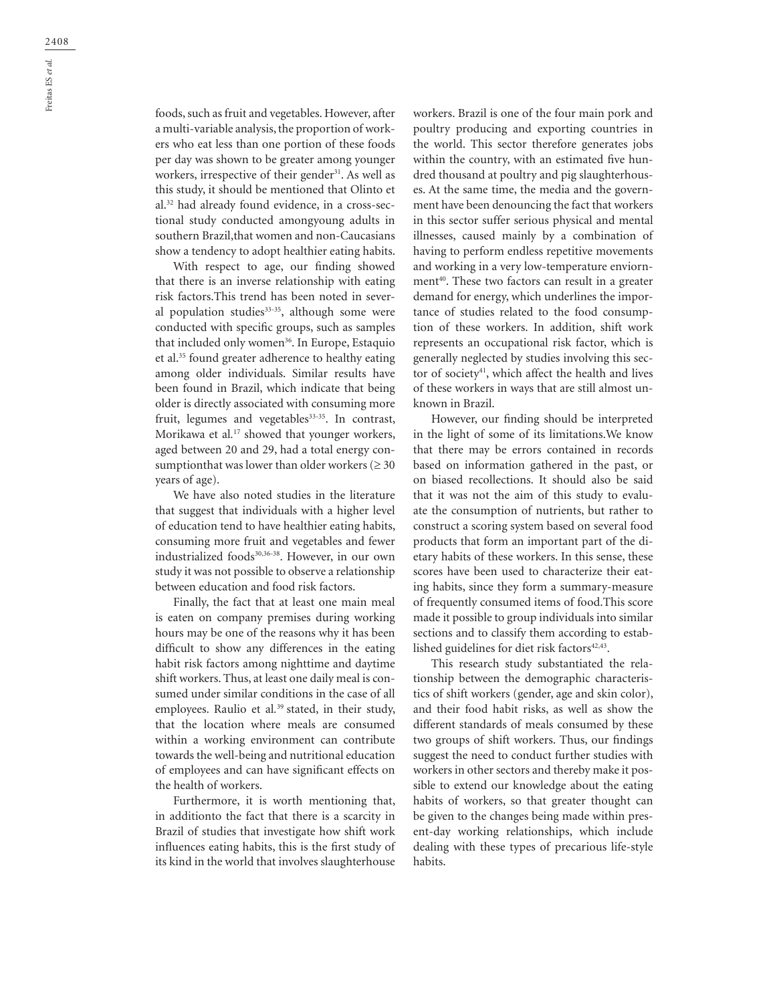foods, such as fruit and vegetables. However, after a multi-variable analysis, the proportion of workers who eat less than one portion of these foods per day was shown to be greater among younger workers, irrespective of their gender<sup>31</sup>. As well as this study, it should be mentioned that Olinto et al.32 had already found evidence, in a cross-sectional study conducted amongyoung adults in southern Brazil,that women and non-Caucasians show a tendency to adopt healthier eating habits.

With respect to age, our finding showed that there is an inverse relationship with eating risk factors.This trend has been noted in several population studies<sup>33-35</sup>, although some were conducted with specific groups, such as samples that included only women<sup>36</sup>. In Europe, Estaquio et al.35 found greater adherence to healthy eating among older individuals. Similar results have been found in Brazil, which indicate that being older is directly associated with consuming more fruit, legumes and vegetables<sup>33-35</sup>. In contrast, Morikawa et al*.* 17 showed that younger workers, aged between 20 and 29, had a total energy consumptionthat was lower than older workers ( $\geq 30$ years of age).

We have also noted studies in the literature that suggest that individuals with a higher level of education tend to have healthier eating habits, consuming more fruit and vegetables and fewer industrialized foods<sup>30,36-38</sup>. However, in our own study it was not possible to observe a relationship between education and food risk factors.

Finally, the fact that at least one main meal is eaten on company premises during working hours may be one of the reasons why it has been difficult to show any differences in the eating habit risk factors among nighttime and daytime shift workers. Thus, at least one daily meal is consumed under similar conditions in the case of all employees. Raulio et al*.* 39 stated, in their study, that the location where meals are consumed within a working environment can contribute towards the well-being and nutritional education of employees and can have significant effects on the health of workers.

Furthermore, it is worth mentioning that, in additionto the fact that there is a scarcity in Brazil of studies that investigate how shift work influences eating habits, this is the first study of its kind in the world that involves slaughterhouse

workers. Brazil is one of the four main pork and poultry producing and exporting countries in the world. This sector therefore generates jobs within the country, with an estimated five hundred thousand at poultry and pig slaughterhouses. At the same time, the media and the government have been denouncing the fact that workers in this sector suffer serious physical and mental illnesses, caused mainly by a combination of having to perform endless repetitive movements and working in a very low-temperature enviornment<sup>40</sup>. These two factors can result in a greater demand for energy, which underlines the importance of studies related to the food consumption of these workers. In addition, shift work represents an occupational risk factor, which is generally neglected by studies involving this sector of society<sup>41</sup>, which affect the health and lives of these workers in ways that are still almost unknown in Brazil.

However, our finding should be interpreted in the light of some of its limitations.We know that there may be errors contained in records based on information gathered in the past, or on biased recollections. It should also be said that it was not the aim of this study to evaluate the consumption of nutrients, but rather to construct a scoring system based on several food products that form an important part of the dietary habits of these workers. In this sense, these scores have been used to characterize their eating habits, since they form a summary-measure of frequently consumed items of food.This score made it possible to group individuals into similar sections and to classify them according to established guidelines for diet risk factors<sup>42,43</sup>.

This research study substantiated the relationship between the demographic characteristics of shift workers (gender, age and skin color), and their food habit risks, as well as show the different standards of meals consumed by these two groups of shift workers. Thus, our findings suggest the need to conduct further studies with workers in other sectors and thereby make it possible to extend our knowledge about the eating habits of workers, so that greater thought can be given to the changes being made within present-day working relationships, which include dealing with these types of precarious life-style habits.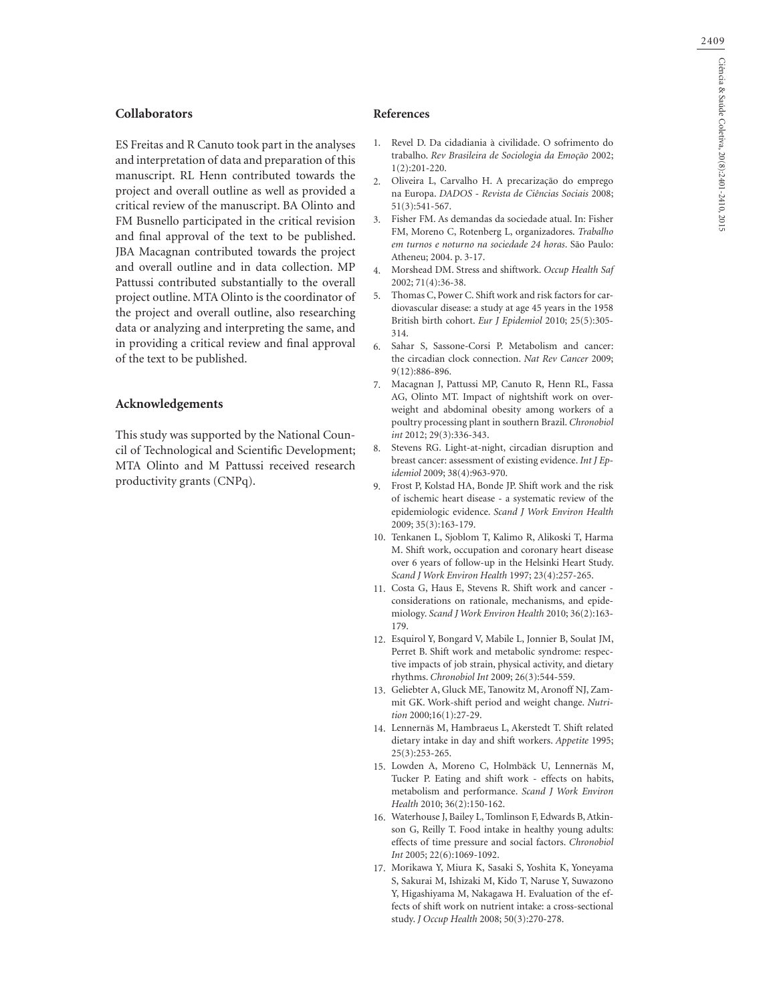### **Collaborators**

ES Freitas and R Canuto took part in the analyses and interpretation of data and preparation of this manuscript. RL Henn contributed towards the project and overall outline as well as provided a critical review of the manuscript. BA Olinto and FM Busnello participated in the critical revision and final approval of the text to be published. JBA Macagnan contributed towards the project and overall outline and in data collection. MP Pattussi contributed substantially to the overall project outline. MTA Olinto is the coordinator of the project and overall outline, also researching data or analyzing and interpreting the same, and in providing a critical review and final approval of the text to be published.

#### **Acknowledgements**

This study was supported by the National Council of Technological and Scientific Development; MTA Olinto and M Pattussi received research productivity grants (CNPq).

#### **References**

- 1. Revel D. Da cidadiania à civilidade. O sofrimento do trabalho. *Rev Brasileira de Sociologia da Emoção* 2002; 1(2):201-220.
- Oliveira L, Carvalho H. A precarização do emprego na Europa. *DADOS - Revista de Ciências Sociais* 2008; 51(3):541-567.  $\mathfrak{2}$
- Fisher FM. As demandas da sociedade atual. In: Fisher 3. FM, Moreno C, Rotenberg L, organizadores. *Trabalho em turnos e noturno na sociedade 24 horas*. São Paulo: Atheneu; 2004. p. 3-17.
- Morshead DM. Stress and shiftwork. *Occup Health Saf* 2002; 71(4):36-38. 4.
- Thomas C, Power C. Shift work and risk factors for cardiovascular disease: a study at age 45 years in the 1958 British birth cohort. *Eur J Epidemiol* 2010; 25(5):305- 314. 5.
- Sahar S, Sassone-Corsi P. Metabolism and cancer: the circadian clock connection. *Nat Rev Cancer* 2009; 9(12):886-896. 6.
- Macagnan J, Pattussi MP, Canuto R, Henn RL, Fassa 7. AG, Olinto MT. Impact of nightshift work on overweight and abdominal obesity among workers of a poultry processing plant in southern Brazil. *Chronobiol int* 2012; 29(3):336-343.
- Stevens RG. Light-at-night, circadian disruption and breast cancer: assessment of existing evidence. *Int J Epidemiol* 2009; 38(4):963-970. 8.
- Frost P, Kolstad HA, Bonde JP. Shift work and the risk 9. of ischemic heart disease - a systematic review of the epidemiologic evidence. *Scand J Work Environ Health* 2009; 35(3):163-179.
- 10. Tenkanen L, Sjoblom T, Kalimo R, Alikoski T, Harma M. Shift work, occupation and coronary heart disease over 6 years of follow-up in the Helsinki Heart Study. *Scand J Work Environ Health* 1997; 23(4):257-265.
- 11. Costa G, Haus E, Stevens R. Shift work and cancer considerations on rationale, mechanisms, and epidemiology. *Scand J Work Environ Health* 2010; 36(2):163- 179.
- Esquirol Y, Bongard V, Mabile L, Jonnier B, Soulat JM, 12. Perret B. Shift work and metabolic syndrome: respective impacts of job strain, physical activity, and dietary rhythms. *Chronobiol Int* 2009; 26(3):544-559.
- 13. Geliebter A, Gluck ME, Tanowitz M, Aronoff NJ, Zammit GK. Work-shift period and weight change. *Nutrition* 2000;16(1):27-29.
- Lennernäs M, Hambraeus L, Akerstedt T. Shift related 14. dietary intake in day and shift workers. *Appetite* 1995; 25(3):253-265.
- Lowden A, Moreno C, Holmbäck U, Lennernäs M, 15. Tucker P. Eating and shift work - effects on habits, metabolism and performance. *Scand J Work Environ Health* 2010; 36(2):150-162.
- Waterhouse J, Bailey L, Tomlinson F, Edwards B, Atkin-16. son G, Reilly T. Food intake in healthy young adults: effects of time pressure and social factors. *Chronobiol Int* 2005; 22(6):1069-1092.
- 17. Morikawa Y, Miura K, Sasaki S, Yoshita K, Yoneyama S, Sakurai M, Ishizaki M, Kido T, Naruse Y, Suwazono Y, Higashiyama M, Nakagawa H. Evaluation of the effects of shift work on nutrient intake: a cross-sectional study. *J Occup Health* 2008; 50(3):270-278.